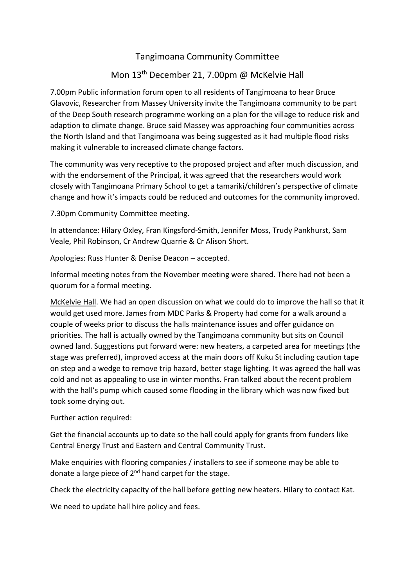## Tangimoana Community Committee

## Mon 13th December 21, 7.00pm @ McKelvie Hall

7.00pm Public information forum open to all residents of Tangimoana to hear Bruce Glavovic, Researcher from Massey University invite the Tangimoana community to be part of the Deep South research programme working on a plan for the village to reduce risk and adaption to climate change. Bruce said Massey was approaching four communities across the North Island and that Tangimoana was being suggested as it had multiple flood risks making it vulnerable to increased climate change factors.

The community was very receptive to the proposed project and after much discussion, and with the endorsement of the Principal, it was agreed that the researchers would work closely with Tangimoana Primary School to get a tamariki/children's perspective of climate change and how it's impacts could be reduced and outcomes for the community improved.

7.30pm Community Committee meeting.

In attendance: Hilary Oxley, Fran Kingsford-Smith, Jennifer Moss, Trudy Pankhurst, Sam Veale, Phil Robinson, Cr Andrew Quarrie & Cr Alison Short.

Apologies: Russ Hunter & Denise Deacon – accepted.

Informal meeting notes from the November meeting were shared. There had not been a quorum for a formal meeting.

McKelvie Hall. We had an open discussion on what we could do to improve the hall so that it would get used more. James from MDC Parks & Property had come for a walk around a couple of weeks prior to discuss the halls maintenance issues and offer guidance on priorities. The hall is actually owned by the Tangimoana community but sits on Council owned land. Suggestions put forward were: new heaters, a carpeted area for meetings (the stage was preferred), improved access at the main doors off Kuku St including caution tape on step and a wedge to remove trip hazard, better stage lighting. It was agreed the hall was cold and not as appealing to use in winter months. Fran talked about the recent problem with the hall's pump which caused some flooding in the library which was now fixed but took some drying out.

Further action required:

Get the financial accounts up to date so the hall could apply for grants from funders like Central Energy Trust and Eastern and Central Community Trust.

Make enquiries with flooring companies / installers to see if someone may be able to donate a large piece of 2<sup>nd</sup> hand carpet for the stage.

Check the electricity capacity of the hall before getting new heaters. Hilary to contact Kat.

We need to update hall hire policy and fees.